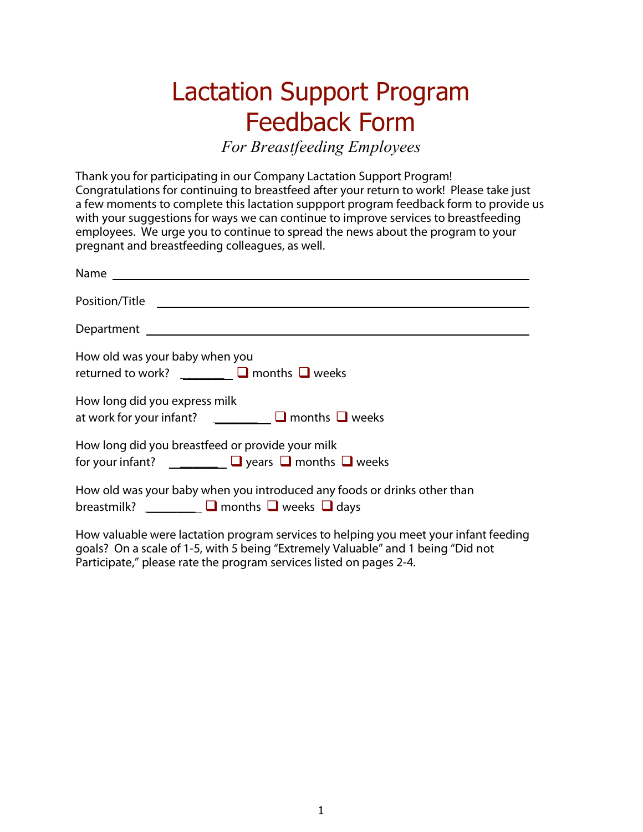## Lactation Support Program Feedback Form

*For Breastfeeding Employees*

**Thank you for participating in our Company Lactation Support Program!** Congratulations for continuing to breastfeed after your return to work! Please take just a few moments to complete this lactation suppport program feedback form to provide us with your suggestions for ways we can continue to improve services to breastfeeding employees. We urge you to continue to spread the news about the program to your pregnant and breastfeeding colleagues, as well.

| Position/Title 2008/06/2012 2012 2022 2023 2024 2022 2023 2024 2022 2023 2024 2022 2023 2024 2022 20                                                                     |
|--------------------------------------------------------------------------------------------------------------------------------------------------------------------------|
|                                                                                                                                                                          |
| How old was your baby when you<br>returned to work? $\Box$ months $\Box$ weeks                                                                                           |
| How long did you express milk<br>at work for your infant? $\Box$ $\Box$ months $\Box$ weeks                                                                              |
| How long did you breastfeed or provide your milk<br>for your infant? $\Box$ $\Box$ years $\Box$ months $\Box$ weeks                                                      |
| How old was your baby when you introduced any foods or drinks other than<br>breastmilk? $\Box$ months $\Box$ weeks $\Box$ days                                           |
| How valuable were lactation program services to helping you meet your infant feeding<br>goals? On a scale of 1-5, with 5 being "Extremely Valuable" and 1 being "Did not |

Participate," please rate the program services listed on pages 2-4.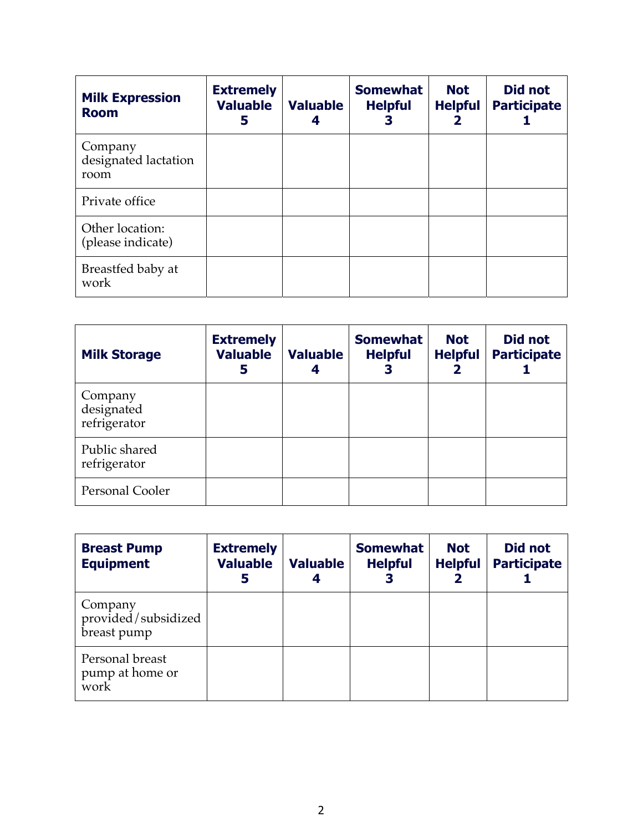| <b>Milk Expression</b><br><b>Room</b>   | <b>Extremely</b><br><b>Valuable</b><br>5 | <b>Valuable</b> | <b>Somewhat</b><br><b>Helpful</b><br>3 | <b>Not</b><br><b>Helpful</b><br>2 | Did not<br><b>Participate</b> |
|-----------------------------------------|------------------------------------------|-----------------|----------------------------------------|-----------------------------------|-------------------------------|
| Company<br>designated lactation<br>room |                                          |                 |                                        |                                   |                               |
| Private office                          |                                          |                 |                                        |                                   |                               |
| Other location:<br>(please indicate)    |                                          |                 |                                        |                                   |                               |
| Breastfed baby at<br>work               |                                          |                 |                                        |                                   |                               |

| <b>Milk Storage</b>                   | <b>Extremely</b><br><b>Valuable</b><br>5 | <b>Valuable</b><br>4 | <b>Somewhat</b><br><b>Helpful</b> | <b>Not</b><br><b>Helpful</b> | Did not<br><b>Participate</b> |
|---------------------------------------|------------------------------------------|----------------------|-----------------------------------|------------------------------|-------------------------------|
| Company<br>designated<br>refrigerator |                                          |                      |                                   |                              |                               |
| Public shared<br>refrigerator         |                                          |                      |                                   |                              |                               |
| Personal Cooler                       |                                          |                      |                                   |                              |                               |

| <b>Breast Pump</b><br><b>Equipment</b>        | <b>Extremely</b><br><b>Valuable</b><br>5 | <b>Valuable</b><br>4 | <b>Somewhat</b><br><b>Helpful</b> | <b>Not</b><br><b>Helpful</b> | <b>Did not</b><br><b>Participate</b> |
|-----------------------------------------------|------------------------------------------|----------------------|-----------------------------------|------------------------------|--------------------------------------|
| Company<br>provided/subsidized<br>breast pump |                                          |                      |                                   |                              |                                      |
| Personal breast<br>pump at home or<br>work    |                                          |                      |                                   |                              |                                      |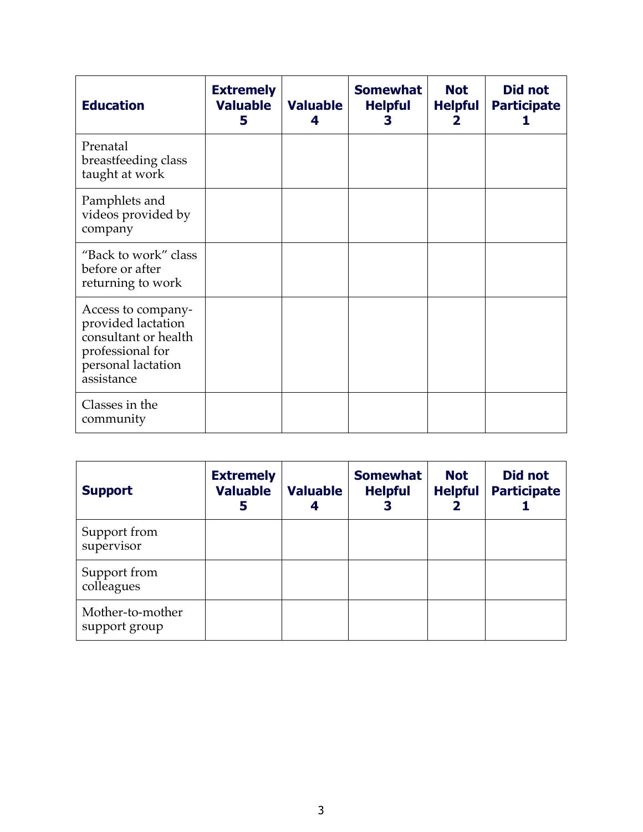| <b>Education</b>                                                                                                         | <b>Extremely</b><br><b>Valuable</b><br>5 | <b>Valuable</b><br>4 | <b>Somewhat</b><br><b>Helpful</b><br>3 | <b>Not</b><br><b>Helpful</b> | Did not<br><b>Participate</b> |
|--------------------------------------------------------------------------------------------------------------------------|------------------------------------------|----------------------|----------------------------------------|------------------------------|-------------------------------|
| Prenatal<br>breastfeeding class<br>taught at work                                                                        |                                          |                      |                                        |                              |                               |
| Pamphlets and<br>videos provided by<br>company                                                                           |                                          |                      |                                        |                              |                               |
| "Back to work" class<br>before or after<br>returning to work                                                             |                                          |                      |                                        |                              |                               |
| Access to company-<br>provided lactation<br>consultant or health<br>professional for<br>personal lactation<br>assistance |                                          |                      |                                        |                              |                               |
| Classes in the<br>community                                                                                              |                                          |                      |                                        |                              |                               |

| <b>Support</b>                    | <b>Extremely</b><br><b>Valuable</b><br>5 | <b>Valuable</b> | <b>Somewhat</b><br><b>Helpful</b><br>3 | <b>Not</b><br><b>Helpful</b> | Did not<br><b>Participate</b> |
|-----------------------------------|------------------------------------------|-----------------|----------------------------------------|------------------------------|-------------------------------|
| Support from<br>supervisor        |                                          |                 |                                        |                              |                               |
| Support from<br>colleagues        |                                          |                 |                                        |                              |                               |
| Mother-to-mother<br>support group |                                          |                 |                                        |                              |                               |